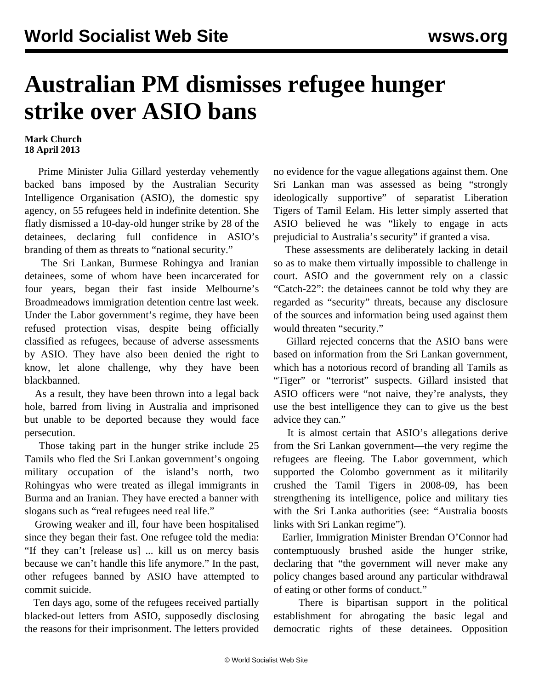## **Australian PM dismisses refugee hunger strike over ASIO bans**

## **Mark Church 18 April 2013**

 Prime Minister Julia Gillard yesterday vehemently backed bans imposed by the Australian Security Intelligence Organisation (ASIO), the domestic spy agency, on 55 refugees held in indefinite detention. She flatly dismissed a 10-day-old hunger strike by 28 of the detainees, declaring full confidence in ASIO's branding of them as threats to "national security."

 The Sri Lankan, Burmese Rohingya and Iranian detainees, some of whom have been incarcerated for four years, began their fast inside Melbourne's Broadmeadows immigration detention centre last week. Under the Labor government's regime, they have been refused protection visas, despite being officially classified as refugees, because of adverse assessments by ASIO. They have also been denied the right to know, let alone challenge, why they have been blackbanned.

 As a result, they have been thrown into a legal back hole, barred from living in Australia and imprisoned but unable to be deported because they would face persecution.

 Those taking part in the hunger strike include 25 Tamils who fled the Sri Lankan government's ongoing military occupation of the island's north, two Rohingyas who were treated as illegal immigrants in Burma and an Iranian. They have erected a banner with slogans such as "real refugees need real life."

 Growing weaker and ill, four have been hospitalised since they began their fast. One refugee told the media: "If they can't [release us] ... kill us on mercy basis because we can't handle this life anymore." In the past, other refugees banned by ASIO have attempted to commit suicide.

 Ten days ago, some of the refugees received partially blacked-out letters from ASIO, supposedly disclosing the reasons for their imprisonment. The letters provided no evidence for the vague allegations against them. One Sri Lankan man was assessed as being "strongly ideologically supportive" of separatist Liberation Tigers of Tamil Eelam. His letter simply asserted that ASIO believed he was "likely to engage in acts prejudicial to Australia's security" if granted a visa.

 These assessments are deliberately lacking in detail so as to make them virtually impossible to challenge in court. ASIO and the government rely on a classic "Catch-22": the detainees cannot be told why they are regarded as "security" threats, because any disclosure of the sources and information being used against them would threaten "security."

 Gillard rejected concerns that the ASIO bans were based on information from the Sri Lankan government, which has a notorious record of branding all Tamils as "Tiger" or "terrorist" suspects. Gillard insisted that ASIO officers were "not naive, they're analysts, they use the best intelligence they can to give us the best advice they can."

 It is almost certain that ASIO's allegations derive from the Sri Lankan government—the very regime the refugees are fleeing. The Labor government, which supported the Colombo government as it militarily crushed the Tamil Tigers in 2008-09, has been strengthening its intelligence, police and military ties with the Sri Lanka authorities (see: "[Australia boosts](/en/articles/2012/12/19/carr-d19.html) [links with Sri Lankan regime](/en/articles/2012/12/19/carr-d19.html)").

 Earlier, Immigration Minister Brendan O'Connor had contemptuously brushed aside the hunger strike, declaring that "the government will never make any policy changes based around any particular withdrawal of eating or other forms of conduct."

 There is bipartisan support in the political establishment for abrogating the basic legal and democratic rights of these detainees. Opposition